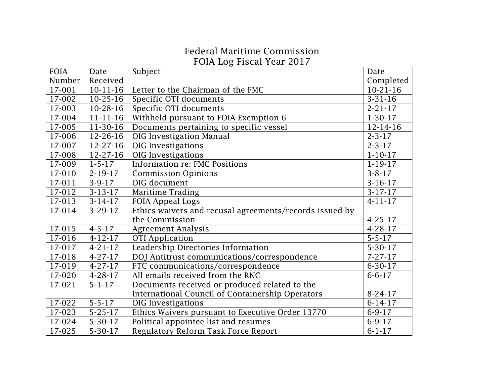## Federal Maritime Commission FOIA Log Fiscal Year 2017

| <b>FOIA</b>         | Date           | Subject                                                 | Date           |
|---------------------|----------------|---------------------------------------------------------|----------------|
| Number              | Received       |                                                         | Completed      |
| 17-001              | $10 - 11 - 16$ | Letter to the Chairman of the FMC                       | $10-21-16$     |
| 17-002              | $10-25-16$     | Specific OTI documents                                  | $3 - 31 - 16$  |
| 17-003              | $10-28-16$     | Specific OTI documents                                  | $2 - 21 - 17$  |
| 17-004              | $11 - 11 - 16$ | Withheld pursuant to FOIA Exemption 6                   | $1-30-17$      |
| 17-005              | 11-30-16       | Documents pertaining to specific vessel                 | $12 - 14 - 16$ |
| 17-006              | 12-26-16       | OIG Investigation Manual                                | $2 - 3 - 17$   |
| 17-007              | $12 - 27 - 16$ | OIG Investigations                                      | $2 - 3 - 17$   |
| 17-008              | $12 - 27 - 16$ | OIG Investigations                                      | $1 - 10 - 17$  |
| 17-009              | $1 - 5 - 17$   | Information re: FMC Positions                           | $1 - 19 - 17$  |
| 17-010              | $2 - 19 - 17$  | <b>Commission Opinions</b>                              | $3 - 8 - 17$   |
| $\overline{17-011}$ | $3 - 9 - 17$   | OIG document                                            | $3-16-17$      |
| 17-012              | $3 - 13 - 17$  | Maritime Trading                                        | $3-17-17$      |
| 17-013              | $3-14-17$      | <b>FOIA Appeal Logs</b>                                 | $4 - 11 - 17$  |
| 17-014              | $3-29-17$      | Ethics waivers and recusal agreements/records issued by |                |
|                     |                | the Commission                                          | $4 - 25 - 17$  |
| 17-015              | $4 - 5 - 17$   | <b>Agreement Analysis</b>                               | $4 - 28 - 17$  |
| 17-016              | $4 - 12 - 17$  | <b>OTI</b> Application                                  | $5 - 5 - 17$   |
| 17-017              | $4 - 21 - 17$  | Leadership Directories Information                      | $5 - 30 - 17$  |
| 17-018              | $4 - 27 - 17$  | DOJ Antitrust communications/correspondence             | $7 - 27 - 17$  |
| 17-019              | $4 - 27 - 17$  | FTC communications/correspondence                       | $6 - 30 - 17$  |
| 17-020              | $4 - 28 - 17$  | All emails received from the RNC                        | $6 - 6 - 17$   |
| 17-021              | $5 - 1 - 17$   | Documents received or produced related to the           |                |
|                     |                | International Council of Containership Operators        | $8 - 24 - 17$  |
| 17-022              | $5 - 5 - 17$   | <b>OIG</b> Investigations                               | $6 - 14 - 17$  |
| 17-023              | $5 - 25 - 17$  | Ethics Waivers pursuant to Executive Order 13770        | $6 - 9 - 17$   |
| 17-024              | $5 - 30 - 17$  | Political appointee list and resumes                    | $6 - 9 - 17$   |
| 17-025              | $5 - 30 - 17$  | Regulatory Reform Task Force Report                     | $6 - 1 - 17$   |